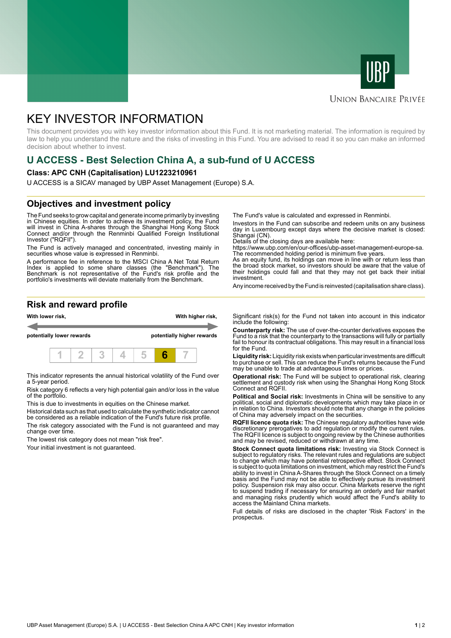



#### **UNION BANCAIRE PRIVÉE**

# KEY INVESTOR INFORMATION

This document provides you with key investor information about this Fund. It is not marketing material. The information is required by law to help you understand the nature and the risks of investing in this Fund. You are advised to read it so you can make an informed decision about whether to invest.

## **U ACCESS - Best Selection China A, a sub-fund of U ACCESS**

#### **Class: APC CNH (Capitalisation) LU1223210961**

U ACCESS is a SICAV managed by UBP Asset Management (Europe) S.A.

### **Objectives and investment policy**

The Fund seeks to grow capital and generate income primarily by investing in Chinese equities. In order to achieve its investment policy, the Fund will invest in China A-shares through the Shanghai Hong Kong Stock Connect and/or through the Renminbi Qualified Foreign Institutional Investor ("RQFII").

The Fund is actively managed and concentrated, investing mainly in securities whose value is expressed in Renminbi.

A performance fee in reference to the MSCI China A Net Total Return Index is applied to some share classes (the "Benchmark"). The Benchmark is not representative of the Fund's risk profile and the portfolio's investments will deviate materially from the Benchmark.

The Fund's value is calculated and expressed in Renminbi.

Investors in the Fund can subscribe and redeem units on any business day in Luxembourg except days where the decisive market is closed: Shangai (CN).

Details of the closing days are available here:

https://www.ubp.com/en/our-offices/ubp-asset-management-europe-sa. The recommended holding period is minimum five years.

As an equity fund, its holdings can move in line with or return less than the broad stock market, so investors should be aware that the value of their holdings could fall and that they may not get back their initial investment.

Any income received by the Fund is reinvested (capitalisation share class).

#### **Risk and reward profile**



This indicator represents the annual historical volatility of the Fund over a 5-year period.

Risk category 6 reflects a very high potential gain and/or loss in the value of the portfolio.

This is due to investments in equities on the Chinese market.

Historical data such as that used to calculate the synthetic indicator cannot be considered as a reliable indication of the Fund's future risk profile. The risk category associated with the Fund is not guaranteed and may

change over time.

The lowest risk category does not mean "risk free".

Your initial investment is not guaranteed.

Significant risk(s) for the Fund not taken into account in this indicator include the following:

**Counterparty risk:** The use of over-the-counter derivatives exposes the Fund to a risk that the counterparty to the transactions will fully or partially fail to honour its contractual obligations. This may result in a financial loss for the Fund.

**Liquidity risk:** Liquidity risk exists when particular investments are difficult to purchase or sell. This can reduce the Fund's returns because the Fund may be unable to trade at advantageous times or prices.

**Operational risk:** The Fund will be subject to operational risk, clearing settlement and custody risk when using the Shanghai Hong Kong Stock Connect and RQFII.

**Political and Social risk:** Investments in China will be sensitive to any political, social and diplomatic developments which may take place in or in relation to China. Investors should note that any change in the policies of China may adversely impact on the securities.

**RQFII licence quota risk:** The Chinese regulatory authorities have wide discretionary prerogatives to add regulation or modify the current rules. The RQFII licence is subject to ongoing review by the Chinese authorities and may be revised, reduced or withdrawn at any time.

**Stock Connect quota limitations risk:** Investing via Stock Connect is subject to regulatory risks. The relevant rules and regulations are subject to change which may have potential retrospective effect. Stock Connect is subject to quota limitations on investment, which may restrict the Fund's ability to invest in China A-Shares through the Stock Connect on a timely basis and the Fund may not be able to effectively pursue its investment policy. Suspension risk may also occur. China Markets reserve the right to suspend trading if necessary for ensuring an orderly and fair market and managing risks prudently which would affect the Fund's ability to access the Mainland China markets.

Full details of risks are disclosed in the chapter 'Risk Factors' in the prospectus.